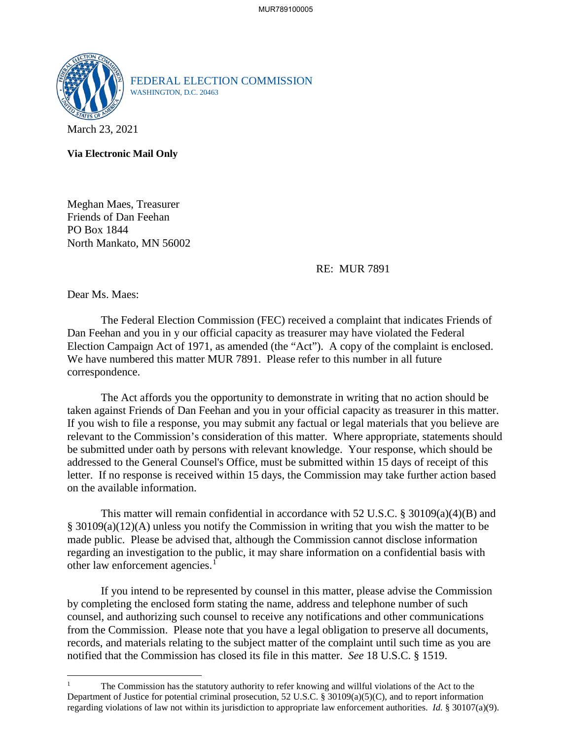

FEDERAL ELECTION COMMISSION WASHINGTON, D.C. 20463

March 23, 2021

**Via Electronic Mail Only**

Meghan Maes, Treasurer Friends of Dan Feehan PO Box 1844 North Mankato, MN 56002

RE: MUR 7891

Dear Ms. Maes:

 $\overline{a}$ 

The Federal Election Commission (FEC) received a complaint that indicates Friends of Dan Feehan and you in y our official capacity as treasurer may have violated the Federal Election Campaign Act of 1971, as amended (the "Act"). A copy of the complaint is enclosed. We have numbered this matter MUR 7891. Please refer to this number in all future correspondence.

 The Act affords you the opportunity to demonstrate in writing that no action should be taken against Friends of Dan Feehan and you in your official capacity as treasurer in this matter. If you wish to file a response, you may submit any factual or legal materials that you believe are relevant to the Commission's consideration of this matter. Where appropriate, statements should be submitted under oath by persons with relevant knowledge. Your response, which should be addressed to the General Counsel's Office, must be submitted within 15 days of receipt of this letter. If no response is received within 15 days, the Commission may take further action based on the available information.

This matter will remain confidential in accordance with 52 U.S.C. § 30109(a)(4)(B) and § 30109(a)(12)(A) unless you notify the Commission in writing that you wish the matter to be made public. Please be advised that, although the Commission cannot disclose information regarding an investigation to the public, it may share information on a confidential basis with other law enforcement agencies.<sup>[1](#page-0-0)</sup>

If you intend to be represented by counsel in this matter, please advise the Commission by completing the enclosed form stating the name, address and telephone number of such counsel, and authorizing such counsel to receive any notifications and other communications from the Commission. Please note that you have a legal obligation to preserve all documents, records, and materials relating to the subject matter of the complaint until such time as you are notified that the Commission has closed its file in this matter. *See* 18 U.S.C. § 1519.

<span id="page-0-0"></span><sup>1</sup> The Commission has the statutory authority to refer knowing and willful violations of the Act to the Department of Justice for potential criminal prosecution, 52 U.S.C. § 30109(a)(5)(C), and to report information regarding violations of law not within its jurisdiction to appropriate law enforcement authorities. *Id.* § 30107(a)(9).